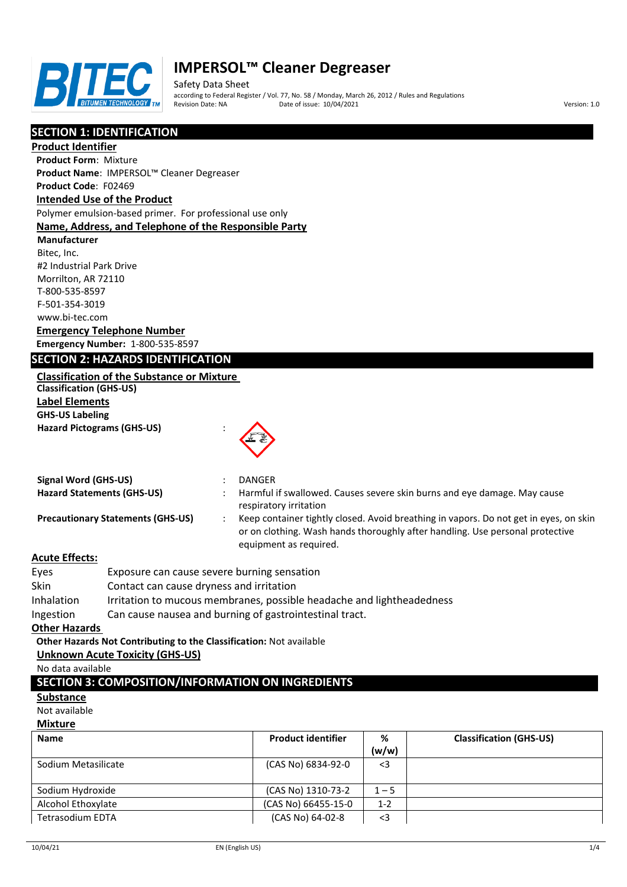

Safety Data Sheet according to Federal Register / Vol. 77, No. 58 / Monday, March 26, 2012 / Rules and Regulations Pate of issue:  $10/04/2021$  Version: 1.0

## **SECTION 1: IDENTIFICATION**

**Product Identifier**

**Product Form**: Mixture **Product Name**: IMPERSOL™ Cleaner Degreaser

## **Product Code**: F02469

## **Intended Use of the Product**

Polymer emulsion-based primer. For professional use only

#### **Name, Address, and Telephone of the Responsible Party**

**Manufacturer** Bitec, Inc. #2 Industrial Park Drive Morrilton, AR 72110 T-800-535-8597 F-501-354-3019 www.bi-tec.com **Emergency Telephone Number**

## **Emergency Number:** 1-800-535-8597

## **SECTION 2: HAZARDS IDENTIFICATION**

| <b>Classification of the Substance or Mixture</b> |
|---------------------------------------------------|
| <b>Classification (GHS-US)</b>                    |

**Label Elements GHS-US Labeling Hazard Pictograms (GHS-US)** :



| Signal Word (GHS-US)                     | <b>DANGER</b>                                                                                                                                                                                    |
|------------------------------------------|--------------------------------------------------------------------------------------------------------------------------------------------------------------------------------------------------|
| <b>Hazard Statements (GHS-US)</b>        | Harmful if swallowed. Causes severe skin burns and eye damage. May cause<br>respiratory irritation                                                                                               |
| <b>Precautionary Statements (GHS-US)</b> | Keep container tightly closed. Avoid breathing in vapors. Do not get in eyes, on skin<br>or on clothing. Wash hands thoroughly after handling. Use personal protective<br>equipment as required. |

## **Acute Effects:**

| Eyes                 | Exposure can cause severe burning sensation                                                                          |
|----------------------|----------------------------------------------------------------------------------------------------------------------|
| Skin                 | Contact can cause dryness and irritation                                                                             |
| Inhalation           | Irritation to mucous membranes, possible headache and lightheadedness                                                |
| Ingestion            | Can cause nausea and burning of gastrointestinal tract.                                                              |
| <b>Other Hazards</b> |                                                                                                                      |
|                      | المستحقق والمترافعة والمستحقق والمستحقق والمستحقق والمنافس والمنافس والمنافس والمنافسة والمنافسة والمنافسة والمنافسة |

## **Other Hazards Not Contributing to the Classification:** Not available

## **Unknown Acute Toxicity (GHS-US)**

No data available

## **SECTION 3: COMPOSITION/INFORMATION ON INGREDIENTS**

#### **Substance**

Not available

#### **Mixture**

| <b>Name</b>             | <b>Product identifier</b> | %       | <b>Classification (GHS-US)</b> |
|-------------------------|---------------------------|---------|--------------------------------|
|                         |                           | (w/w)   |                                |
| Sodium Metasilicate     | (CAS No) 6834-92-0        | $<$ 3   |                                |
|                         |                           |         |                                |
| Sodium Hydroxide        | (CAS No) 1310-73-2        | $1 - 5$ |                                |
| Alcohol Ethoxylate      | (CAS No) 66455-15-0       | $1 - 2$ |                                |
| <b>Tetrasodium EDTA</b> | (CAS No) 64-02-8          | $<$ 3   |                                |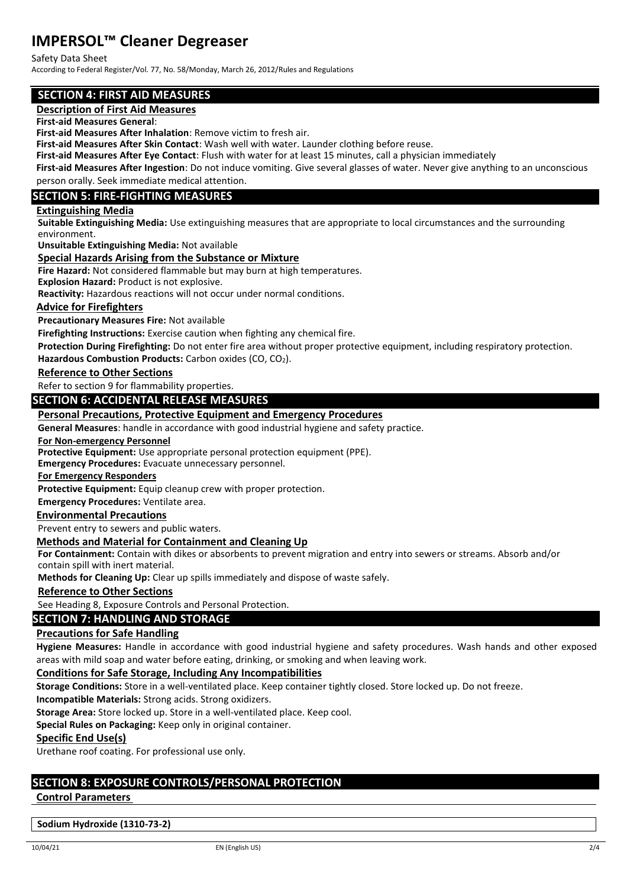#### Safety Data Sheet

According to Federal Register/Vol. 77, No. 58/Monday, March 26, 2012/Rules and Regulations

## **SECTION 4: FIRST AID MEASURES**

## **Description of First Aid Measures**

**First-aid Measures General**:

**First-aid Measures After Inhalation**: Remove victim to fresh air.

**First-aid Measures After Skin Contact**: Wash well with water. Launder clothing before reuse.

**First-aid Measures After Eye Contact**: Flush with water for at least 15 minutes, call a physician immediately

**First-aid Measures After Ingestion**: Do not induce vomiting. Give several glasses of water. Never give anything to an unconscious person orally. Seek immediate medical attention.

## **SECTION 5: FIRE-FIGHTING MEASURES**

#### **Extinguishing Media**

**Suitable Extinguishing Media:** Use extinguishing measures that are appropriate to local circumstances and the surrounding environment.

**Unsuitable Extinguishing Media:** Not available

**Special Hazards Arising from the Substance or Mixture**

**Fire Hazard:** Not considered flammable but may burn at high temperatures.

**Explosion Hazard:** Product is not explosive.

**Reactivity:** Hazardous reactions will not occur under normal conditions.

#### **Advice for Firefighters**

**Precautionary Measures Fire:** Not available

**Firefighting Instructions:** Exercise caution when fighting any chemical fire.

**Protection During Firefighting:** Do not enter fire area without proper protective equipment, including respiratory protection.

Hazardous Combustion Products: Carbon oxides (CO, CO<sub>2</sub>).

**Reference to Other Sections**

Refer to section 9 for flammability properties.

#### **SECTION 6: ACCIDENTAL RELEASE MEASURES**

#### **Personal Precautions, Protective Equipment and Emergency Procedures**

**General Measures**: handle in accordance with good industrial hygiene and safety practice.

**For Non-emergency Personnel**

**Protective Equipment:** Use appropriate personal protection equipment (PPE).

**Emergency Procedures:** Evacuate unnecessary personnel.

**For Emergency Responders**

**Protective Equipment:** Equip cleanup crew with proper protection.

**Emergency Procedures:** Ventilate area.

#### **Environmental Precautions**

Prevent entry to sewers and public waters.

#### **Methods and Material for Containment and Cleaning Up**

**For Containment:** Contain with dikes or absorbents to prevent migration and entry into sewers or streams. Absorb and/or contain spill with inert material.

**Methods for Cleaning Up:** Clear up spills immediately and dispose of waste safely.

**Reference to Other Sections**

See Heading 8, Exposure Controls and Personal Protection.

## **SECTION 7: HANDLING AND STORAGE**

#### **Precautions for Safe Handling**

**Hygiene Measures:** Handle in accordance with good industrial hygiene and safety procedures. Wash hands and other exposed areas with mild soap and water before eating, drinking, or smoking and when leaving work.

#### **Conditions for Safe Storage, Including Any Incompatibilities**

**Storage Conditions:** Store in a well-ventilated place. Keep container tightly closed. Store locked up. Do not freeze.

**Incompatible Materials:** Strong acids. Strong oxidizers.

**Storage Area:** Store locked up. Store in a well-ventilated place. Keep cool.

**Special Rules on Packaging:** Keep only in original container.

**Specific End Use(s)**

Urethane roof coating. For professional use only.

## **SECTION 8: EXPOSURE CONTROLS/PERSONAL PROTECTION**

#### **Control Parameters**

**Sodium Hydroxide (1310-73-2)**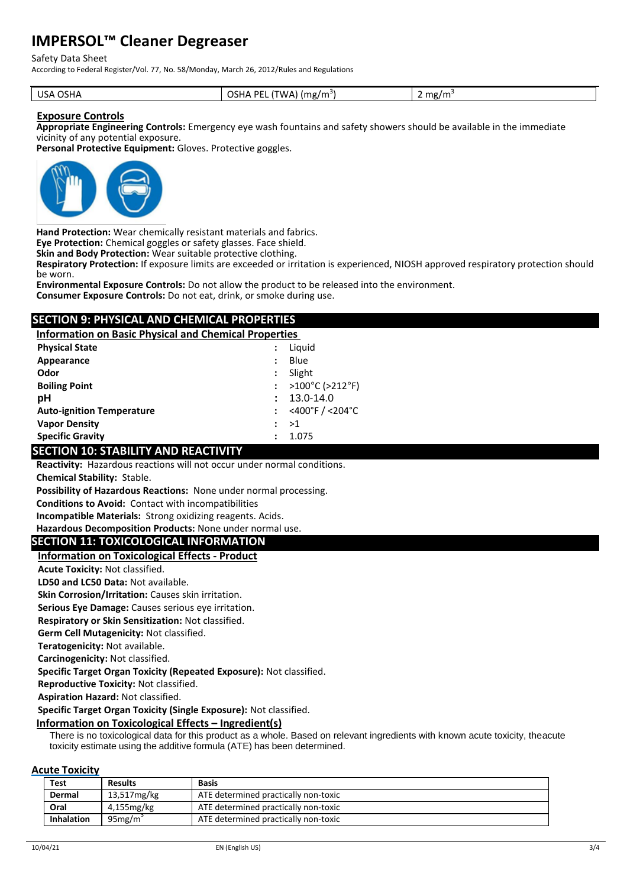#### Safety Data Sheet

According to Federal Register/Vol. 77, No. 58/Monday, March 26, 2012/Rules and Regulations

| USA OSHA | <b>OSHA PE</b><br>(TWA)<br>$\cdot$ ) (mg/m <sup>3)</sup> | mg/m <sup>2</sup><br><u>.</u> |
|----------|----------------------------------------------------------|-------------------------------|
|----------|----------------------------------------------------------|-------------------------------|

#### **Exposure Controls**

**Appropriate Engineering Controls:** Emergency eye wash fountains and safety showers should be available in the immediate vicinity of any potential exposure.

**Personal Protective Equipment:** Gloves. Protective goggles.



**Hand Protection:** Wear chemically resistant materials and fabrics.

**Eye Protection:** Chemical goggles or safety glasses. Face shield.

**Skin and Body Protection:** Wear suitable protective clothing.

**Respiratory Protection:** If exposure limits are exceeded or irritation is experienced, NIOSH approved respiratory protection should be worn.

**Environmental Exposure Controls:** Do not allow the product to be released into the environment.

**Consumer Exposure Controls:** Do not eat, drink, or smoke during use.

## **SECTION 9: PHYSICAL AND CHEMICAL PROPERTIES**

**Information on Basic Physical and Chemical Properties** 

| <b>Physical State</b>            | Liguid                                 |
|----------------------------------|----------------------------------------|
| Appearance                       | Blue                                   |
| Odor                             | Slight                                 |
| <b>Boiling Point</b>             | : $>100^{\circ}$ C ( $>212^{\circ}$ F) |
| рH                               | 13.0-14.0                              |
| <b>Auto-ignition Temperature</b> | : <400°F / <204°C                      |
| <b>Vapor Density</b>             | ->1                                    |
| <b>Specific Gravity</b>          | 1.075                                  |

## **SECTION 10: STABILITY AND REACTIVITY**

**Reactivity:** Hazardous reactions will not occur under normal conditions.

**Chemical Stability:** Stable.

**Possibility of Hazardous Reactions:** None under normal processing.

**Conditions to Avoid:** Contact with incompatibilities

**Incompatible Materials:** Strong oxidizing reagents. Acids.

**Hazardous Decomposition Products:** None under normal use.

#### **SECTION 11: TOXICOLOGICAL INFORMATION**

#### **Information on Toxicological Effects - Product**

**Acute Toxicity:** Not classified.

**LD50 and LC50 Data:** Not available.

**Skin Corrosion/Irritation:** Causes skin irritation.

**Serious Eye Damage:** Causes serious eye irritation.

**Respiratory or Skin Sensitization:** Not classified.

**Germ Cell Mutagenicity:** Not classified.

**Teratogenicity:** Not available.

**Carcinogenicity:** Not classified.

**Specific Target Organ Toxicity (Repeated Exposure):** Not classified.

**Reproductive Toxicity:** Not classified.

**Aspiration Hazard:** Not classified.

**Specific Target Organ Toxicity (Single Exposure):** Not classified.

#### **Information on Toxicological Effects – Ingredient(s)**

There is no toxicological data for this product as a whole. Based on relevant ingredients with known acute toxicity, theacute toxicity estimate using the additive formula (ATE) has been determined.

#### **Acute Toxicity**

| <b>Test</b> |                   | <b>Results</b> | <b>Basis</b>                         |
|-------------|-------------------|----------------|--------------------------------------|
| Dermal      |                   | 13,517mg/kg    | ATE determined practically non-toxic |
| Oral        |                   | 4,155 mg/kg    | ATE determined practically non-toxic |
|             | <b>Inhalation</b> | $95$ mg/m      | ATE determined practically non-toxic |